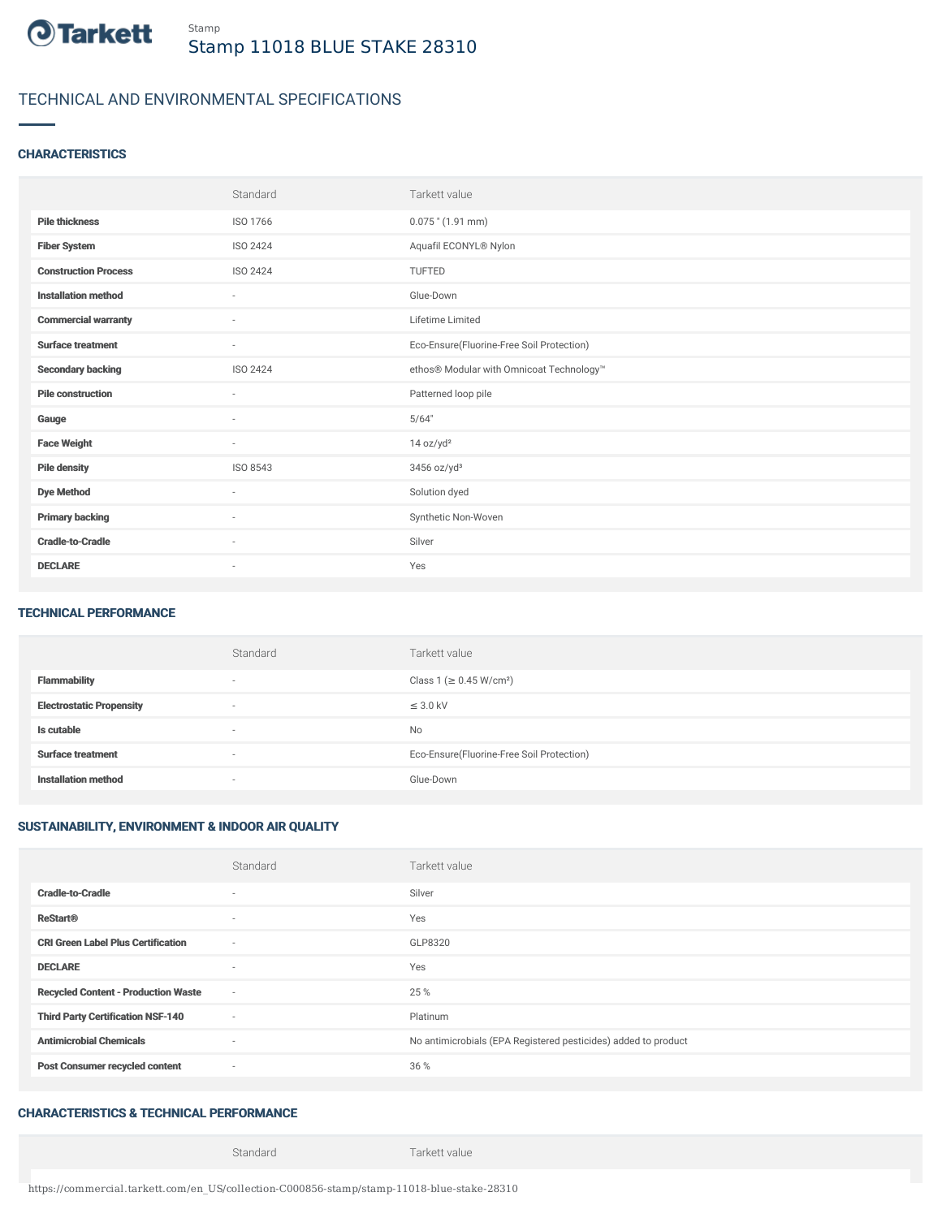

# TECHNICAL AND ENVIRONMENTAL SPECIFICATIONS

### **CHARACTERISTICS**

|                             | Standard                 | Tarkett value                             |
|-----------------------------|--------------------------|-------------------------------------------|
| <b>Pile thickness</b>       | ISO 1766                 | $0.075$ " (1.91 mm)                       |
| <b>Fiber System</b>         | ISO 2424                 | Aquafil ECONYL® Nylon                     |
| <b>Construction Process</b> | <b>ISO 2424</b>          | <b>TUFTED</b>                             |
| <b>Installation method</b>  | $\sim$                   | Glue-Down                                 |
| <b>Commercial warranty</b>  | $\overline{\phantom{a}}$ | Lifetime Limited                          |
| <b>Surface treatment</b>    | $\sim$                   | Eco-Ensure(Fluorine-Free Soil Protection) |
| <b>Secondary backing</b>    | ISO 2424                 | ethos® Modular with Omnicoat Technology™  |
| <b>Pile construction</b>    | $\sim$                   | Patterned loop pile                       |
| Gauge                       | $\sim$                   | 5/64"                                     |
| <b>Face Weight</b>          | $\sim$                   | 14 oz/yd <sup>2</sup>                     |
| <b>Pile density</b>         | ISO 8543                 | $3456$ oz/yd <sup>3</sup>                 |
| <b>Dye Method</b>           | $\sim$                   | Solution dyed                             |
| <b>Primary backing</b>      | $\sim$                   | Synthetic Non-Woven                       |
| <b>Cradle-to-Cradle</b>     | $\overline{\phantom{a}}$ | Silver                                    |
| <b>DECLARE</b>              | $\overline{\phantom{a}}$ | Yes                                       |

#### TECHNICAL PERFORMANCE

|                                 | Standard                 | Tarkett value                             |
|---------------------------------|--------------------------|-------------------------------------------|
| <b>Flammability</b>             | $\overline{\phantom{a}}$ | Class 1 (≥ 0.45 W/cm <sup>2</sup> )       |
| <b>Electrostatic Propensity</b> | $\overline{\phantom{a}}$ | $\leq$ 3.0 kV                             |
| Is cutable                      | $\overline{\phantom{a}}$ | No                                        |
| <b>Surface treatment</b>        | $\overline{\phantom{a}}$ | Eco-Ensure(Fluorine-Free Soil Protection) |
| <b>Installation method</b>      | $\overline{\phantom{a}}$ | Glue-Down                                 |

## SUSTAINABILITY, ENVIRONMENT & INDOOR AIR QUALITY

|                                            | Standard                 | Tarkett value                                                  |
|--------------------------------------------|--------------------------|----------------------------------------------------------------|
| <b>Cradle-to-Cradle</b>                    | ۰                        | Silver                                                         |
| <b>ReStart®</b>                            | $\sim$                   | Yes                                                            |
| <b>CRI Green Label Plus Certification</b>  | $\sim$                   | GLP8320                                                        |
| <b>DECLARE</b>                             | $\sim$                   | Yes                                                            |
| <b>Recycled Content - Production Waste</b> | $\sim$                   | 25 %                                                           |
| <b>Third Party Certification NSF-140</b>   | $\sim$                   | Platinum                                                       |
| <b>Antimicrobial Chemicals</b>             | $\overline{\phantom{a}}$ | No antimicrobials (EPA Registered pesticides) added to product |
| <b>Post Consumer recycled content</b>      | $\sim$                   | 36 %                                                           |

## CHARACTERISTICS & TECHNICAL PERFORMANCE

Standard Tarkett value